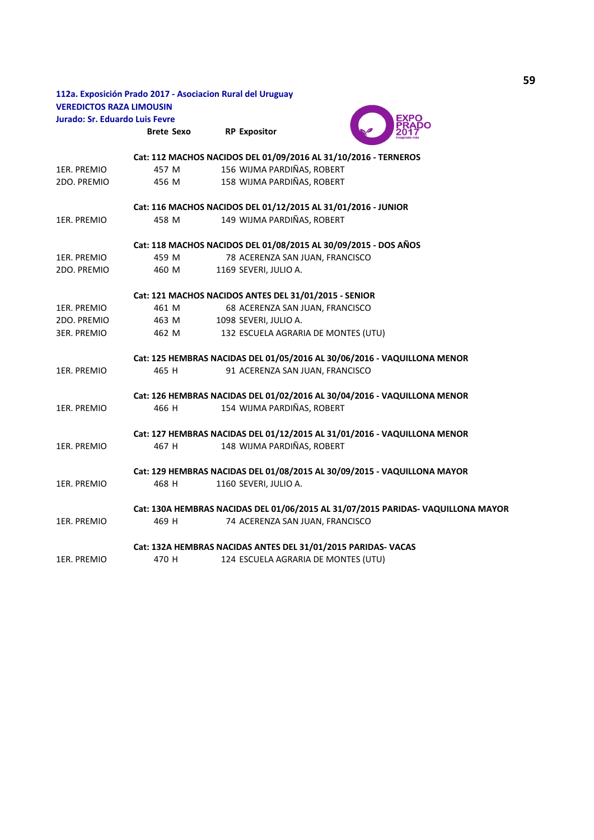|                                       |                   | 112a. Exposición Prado 2017 - Asociacion Rural del Uruguay      |                                                                                  |
|---------------------------------------|-------------------|-----------------------------------------------------------------|----------------------------------------------------------------------------------|
| <b>VEREDICTOS RAZA LIMOUSIN</b>       |                   |                                                                 |                                                                                  |
| <b>Jurado: Sr. Eduardo Luis Fevre</b> |                   |                                                                 |                                                                                  |
|                                       | <b>Brete Sexo</b> | <b>RP Expositor</b>                                             |                                                                                  |
|                                       |                   | Cat: 112 MACHOS NACIDOS DEL 01/09/2016 AL 31/10/2016 - TERNEROS |                                                                                  |
| 1ER. PREMIO                           | 457 M             | 156 WIJMA PARDIÑAS, ROBERT                                      |                                                                                  |
| 2DO. PREMIO                           | 456 M             | 158 WIJMA PARDIÑAS, ROBERT                                      |                                                                                  |
|                                       |                   | Cat: 116 MACHOS NACIDOS DEL 01/12/2015 AL 31/01/2016 - JUNIOR   |                                                                                  |
| 1ER. PREMIO                           | 458 M             | 149 WIJMA PARDIÑAS, ROBERT                                      |                                                                                  |
|                                       |                   | Cat: 118 MACHOS NACIDOS DEL 01/08/2015 AL 30/09/2015 - DOS AÑOS |                                                                                  |
| 1ER. PREMIO                           | 459 M             | 78 ACERENZA SAN JUAN, FRANCISCO                                 |                                                                                  |
| 2DO. PREMIO                           | 460 M             | 1169 SEVERI, JULIO A.                                           |                                                                                  |
|                                       |                   | Cat: 121 MACHOS NACIDOS ANTES DEL 31/01/2015 - SENIOR           |                                                                                  |
| 1ER. PREMIO                           | 461 M             | 68 ACERENZA SAN JUAN, FRANCISCO                                 |                                                                                  |
| 2DO. PREMIO                           | 463 M             | 1098 SEVERI, JULIO A.                                           |                                                                                  |
| <b>3ER. PREMIO</b>                    | 462 M             | 132 ESCUELA AGRARIA DE MONTES (UTU)                             |                                                                                  |
|                                       |                   |                                                                 | Cat: 125 HEMBRAS NACIDAS DEL 01/05/2016 AL 30/06/2016 - VAQUILLONA MENOR         |
| 1ER. PREMIO                           | 465 H             | 91 ACERENZA SAN JUAN, FRANCISCO                                 |                                                                                  |
|                                       |                   |                                                                 | Cat: 126 HEMBRAS NACIDAS DEL 01/02/2016 AL 30/04/2016 - VAQUILLONA MENOR         |
| 1ER. PREMIO                           | 466 H             | 154 WIJMA PARDIÑAS, ROBERT                                      |                                                                                  |
|                                       |                   |                                                                 | Cat: 127 HEMBRAS NACIDAS DEL 01/12/2015 AL 31/01/2016 - VAQUILLONA MENOR         |
| 1ER. PREMIO                           | 467 H             | 148 WIJMA PARDIÑAS, ROBERT                                      |                                                                                  |
|                                       |                   |                                                                 | Cat: 129 HEMBRAS NACIDAS DEL 01/08/2015 AL 30/09/2015 - VAQUILLONA MAYOR         |
| 1ER. PREMIO                           | 468 H             | 1160 SEVERI, JULIO A.                                           |                                                                                  |
|                                       |                   |                                                                 | Cat: 130A HEMBRAS NACIDAS DEL 01/06/2015 AL 31/07/2015 PARIDAS- VAQUILLONA MAYOR |
| 1ER. PREMIO                           | 469 H             | 74 ACERENZA SAN JUAN, FRANCISCO                                 |                                                                                  |
|                                       |                   | Cat: 132A HEMBRAS NACIDAS ANTES DEL 31/01/2015 PARIDAS- VACAS   |                                                                                  |
| 1ER. PREMIO                           | 470 H             | 124 ESCUELA AGRARIA DE MONTES (UTU)                             |                                                                                  |